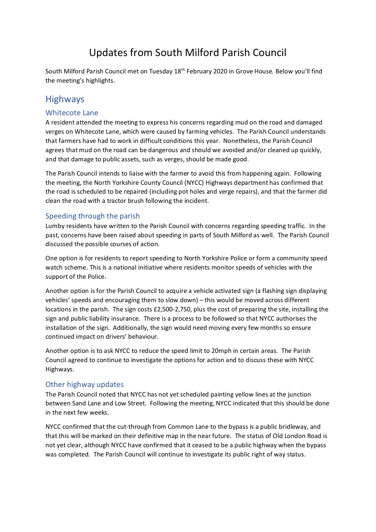# Updates from South Milford Parish Council

South Milford Parish Council met on Tuesday 18<sup>th</sup> February 2020 in Grove House. Below you'll find the meeting's highlights.

### **Highways**

#### Whitecote Lane

A resident attended the meeting to express his concerns regarding mud on the road and damaged verges on Whitecote Lane, which were caused by farming vehicles. The Parish Council understands that farmers have had to work in difficult conditions this year. Nonetheless, the Parish Council agrees that mud on the road can be dangerous and should we avoided and/or cleaned up quickly, and that damage to public assets, such as verges, should be made good.

The Parish Council intends to liaise with the farmer to avoid this from happening again. Following the meeting, the North Yorkshire County Council (NYCC) Highways department has confirmed that the road is scheduled to be repaired (including pot holes and verge repairs), and that the farmer did clean the road with a tractor brush following the incident.

### Speeding through the parish

Lumby residents have written to the Parish Council with concerns regarding speeding traffic. In the past, concerns have been raised about speeding in parts of South Milford as well. The Parish Council discussed the possible courses of action.

One option is for residents to report speeding to North Yorkshire Police or form a community speed watch scheme. This is a national initiative where residents monitor speeds of vehicles with the support of the Police.

Another option is for the Parish Council to acquire a vehicle activated sign (a flashing sign displaying vehicles' speeds and encouraging them to slow down) – this would be moved across different locations in the parish. The sign costs £2,500-2,750, plus the cost of preparing the site, installing the sign and public liability insurance. There is a process to be followed so that NYCC authorises the installation of the sign. Additionally, the sign would need moving every few months so ensure continued impact on drivers' behaviour.

Another option is to ask NYCC to reduce the speed limit to 20mph in certain areas. The Parish Council agreed to continue to investigate the options for action and to discuss these with NYCC Highways.

#### Other highway updates

The Parish Council noted that NYCC has not yet scheduled painting yellow lines at the junction between Sand Lane and Low Street. Following the meeting, NYCC indicated that this should be done in the next few weeks.

NYCC confirmed that the cut-through from Common Lane to the bypass is a public bridleway, and that this will be marked on their definitive map in the near future. The status of Old London Road is not yet clear, although NYCC have confirmed that it ceased to be a public highway when the bypass was completed. The Parish Council will continue to investigate its public right of way status.